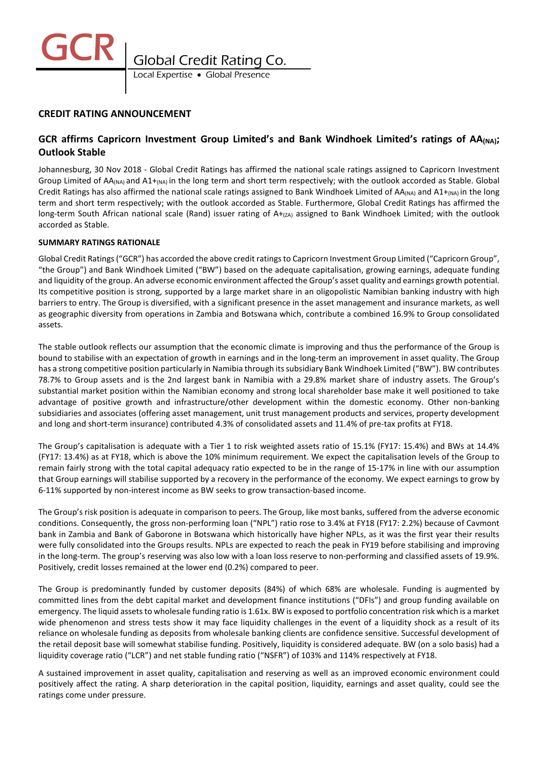

# **CREDIT RATING ANNOUNCEMENT**

# **GCR affirms Capricorn Investment Group Limited's and Bank Windhoek Limited's ratings of AA(NA); Outlook Stable**

Johannesburg, 30 Nov 2018 - Global Credit Ratings has affirmed the national scale ratings assigned to Capricorn Investment Group Limited of AA(NA) and A1+(NA) in the long term and short term respectively; with the outlook accorded as Stable. Global Credit Ratings has also affirmed the national scale ratings assigned to Bank Windhoek Limited of  $AA_{(NA)}$  and  $A1+_{(NA)}$  in the long term and short term respectively; with the outlook accorded as Stable. Furthermore, Global Credit Ratings has affirmed the long-term South African national scale (Rand) issuer rating of A+(zA) assigned to Bank Windhoek Limited; with the outlook accorded as Stable.

## **SUMMARY RATINGS RATIONALE**

Global Credit Ratings ("GCR") has accorded the above credit ratingsto Capricorn Investment Group Limited ("Capricorn Group", "the Group") and Bank Windhoek Limited ("BW") based on the adequate capitalisation, growing earnings, adequate funding and liquidity of the group. An adverse economic environment affected the Group's asset quality and earnings growth potential. Its competitive position is strong, supported by a large market share in an oligopolistic Namibian banking industry with high barriers to entry. The Group is diversified, with a significant presence in the asset management and insurance markets, as well as geographic diversity from operations in Zambia and Botswana which, contribute a combined 16.9% to Group consolidated assets.

The stable outlook reflects our assumption that the economic climate is improving and thus the performance of the Group is bound to stabilise with an expectation of growth in earnings and in the long-term an improvement in asset quality. The Group has a strong competitive position particularly in Namibia through its subsidiary Bank Windhoek Limited ("BW"). BW contributes 78.7% to Group assets and is the 2nd largest bank in Namibia with a 29.8% market share of industry assets. The Group's substantial market position within the Namibian economy and strong local shareholder base make it well positioned to take advantage of positive growth and infrastructure/other development within the domestic economy. Other non-banking subsidiaries and associates (offering asset management, unit trust management products and services, property development and long and short-term insurance) contributed 4.3% of consolidated assets and 11.4% of pre-tax profits at FY18.

The Group's capitalisation is adequate with a Tier 1 to risk weighted assets ratio of 15.1% (FY17: 15.4%) and BWs at 14.4% (FY17: 13.4%) as at FY18, which is above the 10% minimum requirement. We expect the capitalisation levels of the Group to remain fairly strong with the total capital adequacy ratio expected to be in the range of 15-17% in line with our assumption that Group earnings will stabilise supported by a recovery in the performance of the economy. We expect earnings to grow by 6-11% supported by non-interest income as BW seeks to grow transaction-based income.

The Group's risk position is adequate in comparison to peers. The Group, like most banks, suffered from the adverse economic conditions. Consequently, the gross non-performing loan ("NPL") ratio rose to 3.4% at FY18 (FY17: 2.2%) because of Cavmont bank in Zambia and Bank of Gaborone in Botswana which historically have higher NPLs, as it was the first year their results were fully consolidated into the Groups results. NPLs are expected to reach the peak in FY19 before stabilising and improving in the long-term. The group's reserving was also low with a loan loss reserve to non-performing and classified assets of 19.9%. Positively, credit losses remained at the lower end (0.2%) compared to peer.

The Group is predominantly funded by customer deposits (84%) of which 68% are wholesale. Funding is augmented by committed lines from the debt capital market and development finance institutions ("DFIs") and group funding available on emergency. The liquid assets to wholesale funding ratio is 1.61x. BW is exposed to portfolio concentration risk which is a market wide phenomenon and stress tests show it may face liquidity challenges in the event of a liquidity shock as a result of its reliance on wholesale funding as deposits from wholesale banking clients are confidence sensitive. Successful development of the retail deposit base will somewhat stabilise funding. Positively, liquidity is considered adequate. BW (on a solo basis) had a liquidity coverage ratio ("LCR") and net stable funding ratio ("NSFR") of 103% and 114% respectively at FY18.

A sustained improvement in asset quality, capitalisation and reserving as well as an improved economic environment could positively affect the rating. A sharp deterioration in the capital position, liquidity, earnings and asset quality, could see the ratings come under pressure.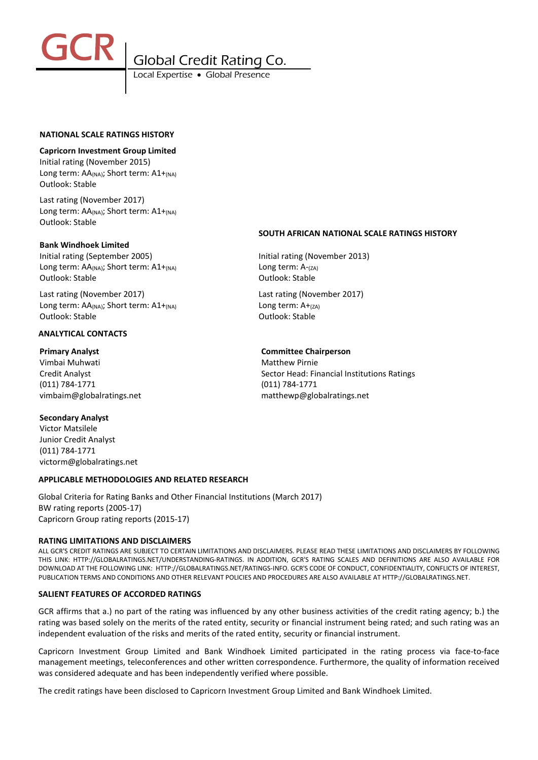

#### **NATIONAL SCALE RATINGS HISTORY**

#### **Capricorn Investment Group Limited**

Initial rating (November 2015) Long term: AA(NA); Short term: A1+(NA) Outlook: Stable

Last rating (November 2017) Long term: AA(NA); Short term: A1+(NA) Outlook: Stable

#### **Bank Windhoek Limited**

Initial rating (September 2005) Initial rating (November 2013) Long term: AA<sub>(NA)</sub>; Short term: A1+<sub>(NA)</sub> Long term: A-<sub>(ZA)</sub> Outlook: Stable Outlook: Stable

Last rating (November 2017) Last rating (November 2017) Long term:  $AA_{(NA)}$ ; Short term:  $A1+_{(NA)}$  Long term:  $A+_{(ZA)}$ Outlook: Stable Outlook: Stable

#### **ANALYTICAL CONTACTS**

Vimbai Muhwati Matthew Pirnie (011) 784-1771 (011) 784-1771

## **Secondary Analyst**

Victor Matsilele Junior Credit Analyst (011) 784-1771 victorm@globalratings.net

## **APPLICABLE METHODOLOGIES AND RELATED RESEARCH**

Global Criteria for Rating Banks and Other Financial Institutions (March 2017) BW rating reports (2005-17) Capricorn Group rating reports (2015-17)

#### **RATING LIMITATIONS AND DISCLAIMERS**

ALL GCR'S CREDIT RATINGS ARE SUBJECT TO CERTAIN LIMITATIONS AND DISCLAIMERS. PLEASE READ THESE LIMITATIONS AND DISCLAIMERS BY FOLLOWING THIS LINK: HTTP://GLOBALRATINGS.NET/UNDERSTANDING-RATINGS. IN ADDITION, GCR'S RATING SCALES AND DEFINITIONS ARE ALSO AVAILABLE FOR DOWNLOAD AT THE FOLLOWING LINK: HTTP://GLOBALRATINGS.NET/RATINGS-INFO. GCR'S CODE OF CONDUCT, CONFIDENTIALITY, CONFLICTS OF INTEREST, PUBLICATION TERMS AND CONDITIONS AND OTHER RELEVANT POLICIES AND PROCEDURES ARE ALSO AVAILABLE AT HTTP://GLOBALRATINGS.NET.

# **SALIENT FEATURES OF ACCORDED RATINGS**

GCR affirms that a.) no part of the rating was influenced by any other business activities of the credit rating agency; b.) the rating was based solely on the merits of the rated entity, security or financial instrument being rated; and such rating was an independent evaluation of the risks and merits of the rated entity, security or financial instrument.

Capricorn Investment Group Limited and Bank Windhoek Limited participated in the rating process via face-to-face management meetings, teleconferences and other written correspondence. Furthermore, the quality of information received was considered adequate and has been independently verified where possible.

The credit ratings have been disclosed to Capricorn Investment Group Limited and Bank Windhoek Limited.

# **SOUTH AFRICAN NATIONAL SCALE RATINGS HISTORY**

#### **Primary Analyst Committee Chairperson**

Credit Analyst **Sector Head: Financial Institutions Ratings** Sector Head: Financial Institutions Ratings vimbaim@globalratings.net matthewp@globalratings.net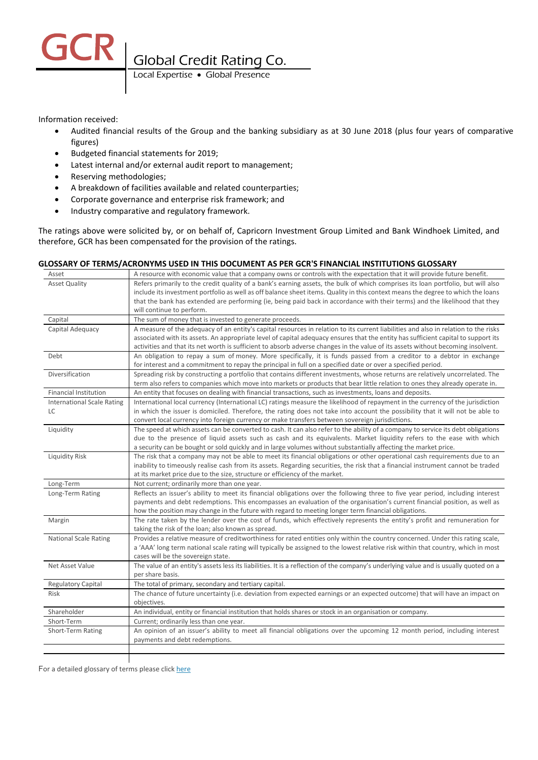GCR Global Credit Rating Co.

Information received:

- Audited financial results of the Group and the banking subsidiary as at 30 June 2018 (plus four years of comparative figures)
- Budgeted financial statements for 2019;
- Latest internal and/or external audit report to management;
- Reserving methodologies;
- A breakdown of facilities available and related counterparties;
- Corporate governance and enterprise risk framework; and
- Industry comparative and regulatory framework.

The ratings above were solicited by, or on behalf of, Capricorn Investment Group Limited and Bank Windhoek Limited, and therefore, GCR has been compensated for the provision of the ratings.

## **GLOSSARY OF TERMS/ACRONYMS USED IN THIS DOCUMENT AS PER GCR'S FINANCIAL INSTITUTIONS GLOSSARY**

| Asset                             | A resource with economic value that a company owns or controls with the expectation that it will provide future benefit.                                                    |
|-----------------------------------|-----------------------------------------------------------------------------------------------------------------------------------------------------------------------------|
| <b>Asset Quality</b>              | Refers primarily to the credit quality of a bank's earning assets, the bulk of which comprises its loan portfolio, but will also                                            |
|                                   | include its investment portfolio as well as off balance sheet items. Quality in this context means the degree to which the loans                                            |
|                                   | that the bank has extended are performing (ie, being paid back in accordance with their terms) and the likelihood that they                                                 |
|                                   | will continue to perform.                                                                                                                                                   |
| Capital                           | The sum of money that is invested to generate proceeds.                                                                                                                     |
| Capital Adequacy                  | A measure of the adequacy of an entity's capital resources in relation to its current liabilities and also in relation to the risks                                         |
|                                   | associated with its assets. An appropriate level of capital adequacy ensures that the entity has sufficient capital to support its                                          |
|                                   | activities and that its net worth is sufficient to absorb adverse changes in the value of its assets without becoming insolvent.                                            |
| Debt                              | An obligation to repay a sum of money. More specifically, it is funds passed from a creditor to a debtor in exchange                                                        |
|                                   | for interest and a commitment to repay the principal in full on a specified date or over a specified period.                                                                |
| Diversification                   | Spreading risk by constructing a portfolio that contains different investments, whose returns are relatively uncorrelated. The                                              |
|                                   | term also refers to companies which move into markets or products that bear little relation to ones they already operate in.                                                |
| <b>Financial Institution</b>      | An entity that focuses on dealing with financial transactions, such as investments, loans and deposits.                                                                     |
| <b>International Scale Rating</b> | International local currency (International LC) ratings measure the likelihood of repayment in the currency of the jurisdiction                                             |
| LC                                | in which the issuer is domiciled. Therefore, the rating does not take into account the possibility that it will not be able to                                              |
|                                   | convert local currency into foreign currency or make transfers between sovereign jurisdictions.                                                                             |
| Liquidity                         | The speed at which assets can be converted to cash. It can also refer to the ability of a company to service its debt obligations                                           |
|                                   | due to the presence of liquid assets such as cash and its equivalents. Market liquidity refers to the ease with which                                                       |
|                                   | a security can be bought or sold quickly and in large volumes without substantially affecting the market price.                                                             |
| Liquidity Risk                    | The risk that a company may not be able to meet its financial obligations or other operational cash requirements due to an                                                  |
|                                   | inability to timeously realise cash from its assets. Regarding securities, the risk that a financial instrument cannot be traded                                            |
|                                   | at its market price due to the size, structure or efficiency of the market.                                                                                                 |
| Long-Term                         | Not current; ordinarily more than one year.                                                                                                                                 |
| Long-Term Rating                  | Reflects an issuer's ability to meet its financial obligations over the following three to five year period, including interest                                             |
|                                   | payments and debt redemptions. This encompasses an evaluation of the organisation's current financial position, as well as                                                  |
|                                   | how the position may change in the future with regard to meeting longer term financial obligations.                                                                         |
| Margin                            | The rate taken by the lender over the cost of funds, which effectively represents the entity's profit and remuneration for                                                  |
|                                   | taking the risk of the loan; also known as spread.                                                                                                                          |
| <b>National Scale Rating</b>      | Provides a relative measure of creditworthiness for rated entities only within the country concerned. Under this rating scale,                                              |
|                                   | a 'AAA' long term national scale rating will typically be assigned to the lowest relative risk within that country, which in most                                           |
| Net Asset Value                   | cases will be the sovereign state.<br>The value of an entity's assets less its liabilities. It is a reflection of the company's underlying value and is usually quoted on a |
|                                   | per share basis.                                                                                                                                                            |
| Regulatory Capital                | The total of primary, secondary and tertiary capital.                                                                                                                       |
| Risk                              | The chance of future uncertainty (i.e. deviation from expected earnings or an expected outcome) that will have an impact on                                                 |
|                                   | objectives.                                                                                                                                                                 |
| Shareholder                       | An individual, entity or financial institution that holds shares or stock in an organisation or company.                                                                    |
| Short-Term                        | Current; ordinarily less than one year.                                                                                                                                     |
| Short-Term Rating                 | An opinion of an issuer's ability to meet all financial obligations over the upcoming 12 month period, including interest                                                   |
|                                   | payments and debt redemptions.                                                                                                                                              |
|                                   |                                                                                                                                                                             |
|                                   |                                                                                                                                                                             |

For a detailed glossary of terms please clic[k here](https://globalratings.net/understanding-ratings/glossary)